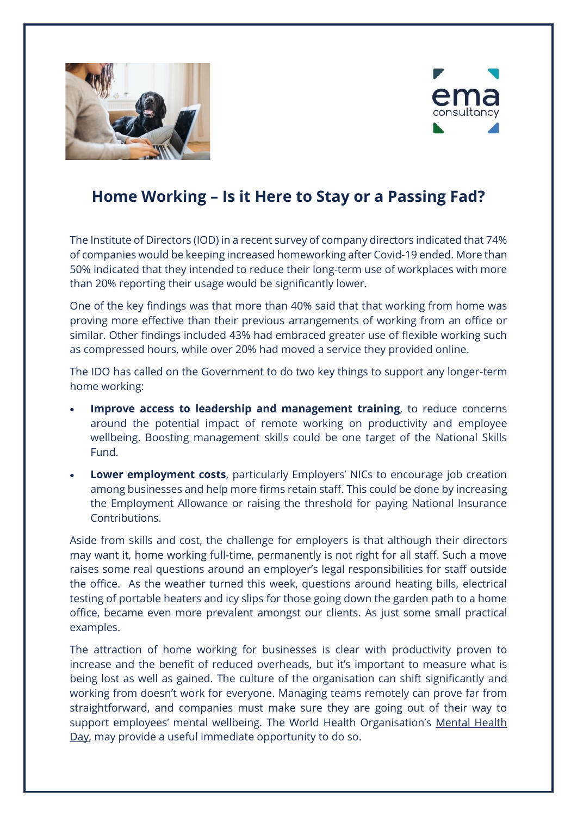



## **Home Working – Is it Here to Stay or a Passing Fad?**

The Institute of Directors (IOD) in a recent survey of company directors indicated that 74% of companies would be keeping increased homeworking after Covid-19 ended. More than 50% indicated that they intended to reduce their long-term use of workplaces with more than 20% reporting their usage would be significantly lower.

One of the key findings was that more than 40% said that that working from home was proving more effective than their previous arrangements of working from an office or similar. Other findings included 43% had embraced greater use of flexible working such as compressed hours, while over 20% had moved a service they provided online.

The IDO has called on the Government to do two key things to support any longer-term home working:

- **Improve access to leadership and management training**, to reduce concerns around the potential impact of remote working on productivity and employee wellbeing. Boosting management skills could be one target of the National Skills Fund.
- **Lower employment costs**, particularly Employers' NICs to encourage job creation among businesses and help more firms retain staff. This could be done by increasing the Employment Allowance or raising the threshold for paying National Insurance Contributions.

Aside from skills and cost, the challenge for employers is that although their directors may want it, home working full-time, permanently is not right for all staff. Such a move raises some real questions around an employer's legal responsibilities for staff outside the office. As the weather turned this week, questions around heating bills, electrical testing of portable heaters and icy slips for those going down the garden path to a home office, became even more prevalent amongst our clients. As just some small practical examples.

The attraction of home working for businesses is clear with productivity proven to increase and the benefit of reduced overheads, but it's important to measure what is being lost as well as gained. The culture of the organisation can shift significantly and working from doesn't work for everyone. Managing teams remotely can prove far from straightforward, and companies must make sure they are going out of their way to support employees' mental wellbeing. The World Health Organisation's Mental Health [Day,](https://www.who.int/campaigns/world-mental-health-day/world-mental-health-day-2020) may provide a useful immediate opportunity to do so.